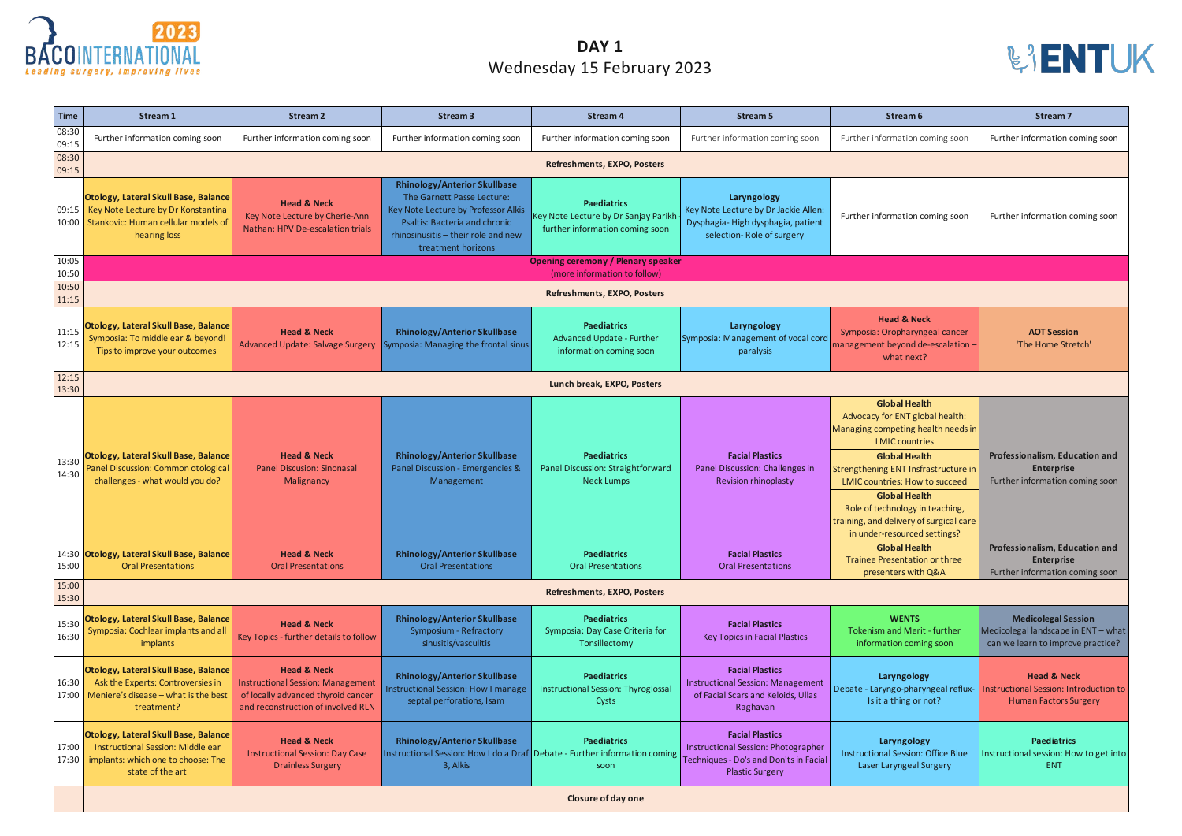| <b>Time</b>    | Stream 1                                                                                                                                | <b>Stream 2</b>                                                                                                                                | <b>Stream 3</b>                                                                                                                                                                                               | <b>Stream 4</b>                                                                                          | <b>Stream 5</b>                                                                                                                   | Stream 6                                                                                                                                                                                                                                                                                                                                                              | <b>Stream 7</b>                                                                                         |  |  |
|----------------|-----------------------------------------------------------------------------------------------------------------------------------------|------------------------------------------------------------------------------------------------------------------------------------------------|---------------------------------------------------------------------------------------------------------------------------------------------------------------------------------------------------------------|----------------------------------------------------------------------------------------------------------|-----------------------------------------------------------------------------------------------------------------------------------|-----------------------------------------------------------------------------------------------------------------------------------------------------------------------------------------------------------------------------------------------------------------------------------------------------------------------------------------------------------------------|---------------------------------------------------------------------------------------------------------|--|--|
| 08:30<br>09:15 | Further information coming soon                                                                                                         | Further information coming soon                                                                                                                | Further information coming soon                                                                                                                                                                               | Further information coming soon                                                                          | Further information coming soon                                                                                                   | Further information coming soon                                                                                                                                                                                                                                                                                                                                       | Further information coming soon                                                                         |  |  |
| 08:30<br>09:15 | Refreshments, EXPO, Posters                                                                                                             |                                                                                                                                                |                                                                                                                                                                                                               |                                                                                                          |                                                                                                                                   |                                                                                                                                                                                                                                                                                                                                                                       |                                                                                                         |  |  |
| 09:15          | Otology, Lateral Skull Base, Balance<br>Key Note Lecture by Dr Konstantina<br>10:00 Stankovic: Human cellular models of<br>hearing loss | <b>Head &amp; Neck</b><br>Key Note Lecture by Cherie-Ann<br>Nathan: HPV De-escalation trials                                                   | <b>Rhinology/Anterior Skullbase</b><br>The Garnett Passe Lecture:<br>Key Note Lecture by Professor Alkis<br><b>Psaltis: Bacteria and chronic</b><br>rhinosinusitis - their role and new<br>treatment horizons | <b>Paediatrics</b><br>Key Note Lecture by Dr Sanjay Parikl<br>further information coming soon            | Laryngology<br>Key Note Lecture by Dr Jackie Allen:<br>Dysphagia-High dysphagia, patient<br>selection-Role of surgery             | Further information coming soon                                                                                                                                                                                                                                                                                                                                       | Further information coming soon                                                                         |  |  |
| 10:05<br>10:50 | <b>Opening ceremony / Plenary speaker</b><br>(more information to follow)                                                               |                                                                                                                                                |                                                                                                                                                                                                               |                                                                                                          |                                                                                                                                   |                                                                                                                                                                                                                                                                                                                                                                       |                                                                                                         |  |  |
| 10:50<br>11:15 |                                                                                                                                         |                                                                                                                                                |                                                                                                                                                                                                               | Refreshments, EXPO, Posters                                                                              |                                                                                                                                   |                                                                                                                                                                                                                                                                                                                                                                       |                                                                                                         |  |  |
| 11:15<br>12:15 | Otology, Lateral Skull Base, Balance<br>Symposia: To middle ear & beyond!<br>Tips to improve your outcomes                              | <b>Head &amp; Neck</b><br>Advanced Update: Salvage Surgery                                                                                     | <b>Rhinology/Anterior Skullbase</b><br>ymposia: Managing the frontal sinus                                                                                                                                    | <b>Paediatrics</b><br><b>Advanced Update - Further</b><br>information coming soon                        | Laryngology<br>Symposia: Management of vocal cord<br>paralysis                                                                    | <b>Head &amp; Neck</b><br>Symposia: Oropharyngeal cancer<br>management beyond de-escalation-<br>what next?                                                                                                                                                                                                                                                            | <b>AOT Session</b><br>'The Home Stretch'                                                                |  |  |
| 12:15<br>13:30 | Lunch break, EXPO, Posters                                                                                                              |                                                                                                                                                |                                                                                                                                                                                                               |                                                                                                          |                                                                                                                                   |                                                                                                                                                                                                                                                                                                                                                                       |                                                                                                         |  |  |
| 13:30<br>14:30 | Otology, Lateral Skull Base, Balance<br>Panel Discussion: Common otological<br>challenges - what would you do?                          | <b>Head &amp; Neck</b><br><b>Panel Discusion: Sinonasal</b><br>Malignancy                                                                      | <b>Rhinology/Anterior Skullbase</b><br>Panel Discussion - Emergencies &<br>Management                                                                                                                         | <b>Paediatrics</b><br>Panel Discussion: Straightforward<br><b>Neck Lumps</b>                             | <b>Facial Plastics</b><br>Panel Discussion: Challenges in<br><b>Revision rhinoplasty</b>                                          | <b>Global Health</b><br>Advocacy for ENT global health:<br>Managing competing health needs in<br><b>LMIC countries</b><br><b>Global Health</b><br>Strengthening ENT Insfrastructure in<br><b>LMIC countries: How to succeed</b><br><b>Global Health</b><br>Role of technology in teaching,<br>training, and delivery of surgical care<br>in under-resourced settings? | Professionalism, Education and<br><b>Enterprise</b><br>Further information coming soon                  |  |  |
| 15:00          | 14:30 Otology, Lateral Skull Base, Balance<br><b>Oral Presentations</b>                                                                 | <b>Head &amp; Neck</b><br><b>Oral Presentations</b>                                                                                            | <b>Rhinology/Anterior Skullbase</b><br><b>Oral Presentations</b>                                                                                                                                              | <b>Paediatrics</b><br><b>Oral Presentations</b>                                                          | <b>Facial Plastics</b><br><b>Oral Presentations</b>                                                                               | <b>Global Health</b><br>Trainee Presentation or three<br>presenters with Q&A                                                                                                                                                                                                                                                                                          | Professionalism, Education and<br><b>Enterprise</b><br>Further information coming soon                  |  |  |
| 15:00<br>15:30 |                                                                                                                                         |                                                                                                                                                |                                                                                                                                                                                                               | Refreshments, EXPO, Posters                                                                              |                                                                                                                                   |                                                                                                                                                                                                                                                                                                                                                                       |                                                                                                         |  |  |
| 15:30<br>16:30 | Otology, Lateral Skull Base, Balance<br>Symposia: Cochlear implants and all<br>implants                                                 | <b>Head &amp; Neck</b><br>Key Topics - further details to follow                                                                               | <b>Rhinology/Anterior Skullbase</b><br>Symposium - Refractory<br>sinusitis/vasculitis                                                                                                                         | <b>Paediatrics</b><br>Symposia: Day Case Criteria for<br>Tonsillectomy                                   | <b>Facial Plastics</b><br>Key Topics in Facial Plastics                                                                           | <b>WENTS</b><br><b>Tokenism and Merit - further</b><br>information coming soon                                                                                                                                                                                                                                                                                        | <b>Medicolegal Session</b><br>Medicolegal landscape in ENT - what<br>can we learn to improve practice?  |  |  |
| 16:30<br>17:00 | Otology, Lateral Skull Base, Balance<br>Ask the Experts: Controversies in<br>Meniere's disease - what is the best<br>treatment?         | <b>Head &amp; Neck</b><br><b>Instructional Session: Management</b><br>of locally advanced thyroid cancer<br>and reconstruction of involved RLN | <b>Rhinology/Anterior Skullbase</b><br>Instructional Session: How I manage<br>septal perforations, Isam                                                                                                       | <b>Paediatrics</b><br><b>Instructional Session: Thyroglossal</b><br>Cysts                                | <b>Facial Plastics</b><br><b>Instructional Session: Management</b><br>of Facial Scars and Keloids, Ullas<br>Raghavan              | Laryngology<br>Debate - Laryngo-pharyngeal reflux-<br>Is it a thing or not?                                                                                                                                                                                                                                                                                           | <b>Head &amp; Neck</b><br><b>Instructional Session: Introduction to</b><br><b>Human Factors Surgery</b> |  |  |
| 17:00<br>17:30 | Otology, Lateral Skull Base, Balance<br>Instructional Session: Middle ear<br>implants: which one to choose: The<br>state of the art     | <b>Head &amp; Neck</b><br><b>Instructional Session: Day Case</b><br><b>Drainless Surgery</b>                                                   | <b>Rhinology/Anterior Skullbase</b><br>3, Alkis                                                                                                                                                               | <b>Paediatrics</b><br>Instructional Session: How I do a Draf Debate - Further information coming<br>soon | <b>Facial Plastics</b><br>Instructional Session: Photographer<br>Techniques - Do's and Don'ts in Facial<br><b>Plastic Surgery</b> | Laryngology<br><b>Instructional Session: Office Blue</b><br>Laser Laryngeal Surgery                                                                                                                                                                                                                                                                                   | <b>Paediatrics</b><br>Instructional session: How to get into<br>ENT                                     |  |  |
|                | Closure of day one                                                                                                                      |                                                                                                                                                |                                                                                                                                                                                                               |                                                                                                          |                                                                                                                                   |                                                                                                                                                                                                                                                                                                                                                                       |                                                                                                         |  |  |





## **DAY 1** Wednesday 15 February 2023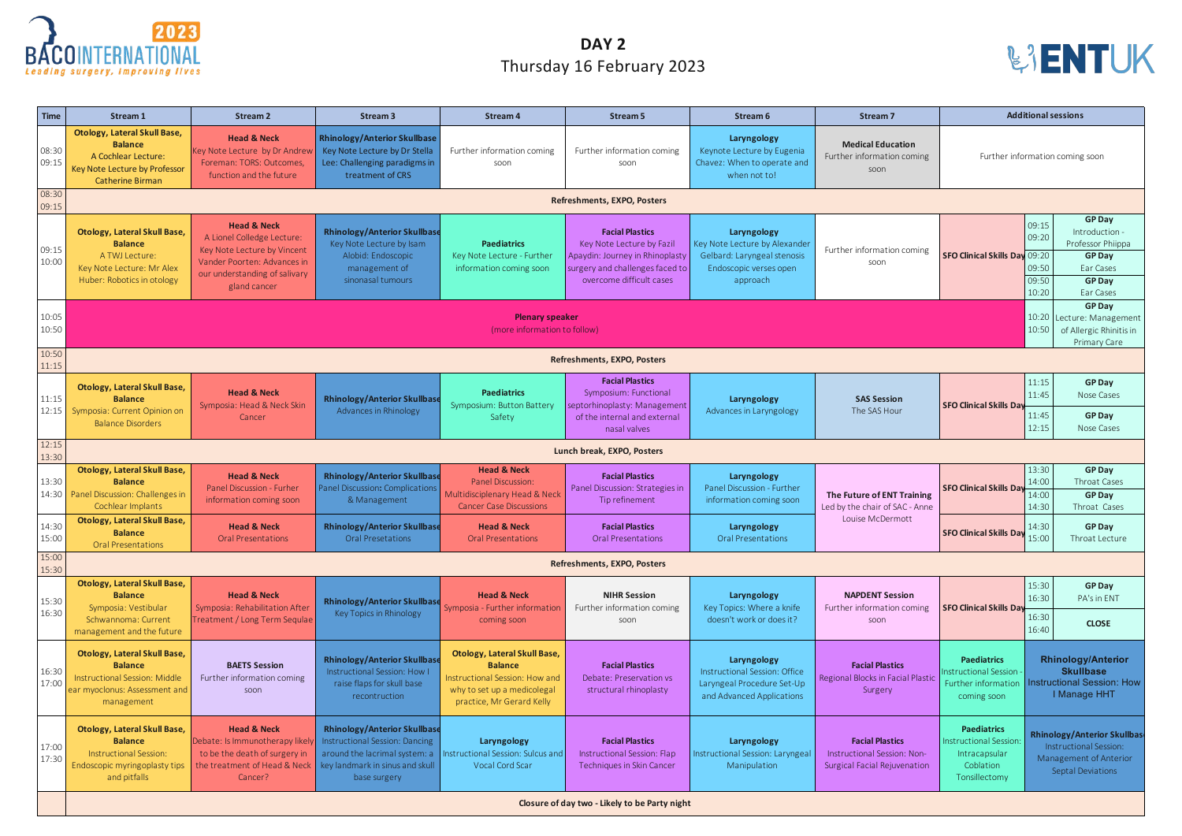| <b>Time</b>    | <b>Stream 1</b>                                                                                                                                             | <b>Stream 2</b>                                                                                                                                                         | <b>Stream 3</b>                                                                                                             | <b>Stream 4</b>                                                                                                                                     | Stream 5                                                                                                                                              | Stream 6                                                                                                          | <b>Stream 7</b>                                                                              |                                                                                                   | <b>Additional sessions</b>                                                                                                                                    |  |
|----------------|-------------------------------------------------------------------------------------------------------------------------------------------------------------|-------------------------------------------------------------------------------------------------------------------------------------------------------------------------|-----------------------------------------------------------------------------------------------------------------------------|-----------------------------------------------------------------------------------------------------------------------------------------------------|-------------------------------------------------------------------------------------------------------------------------------------------------------|-------------------------------------------------------------------------------------------------------------------|----------------------------------------------------------------------------------------------|---------------------------------------------------------------------------------------------------|---------------------------------------------------------------------------------------------------------------------------------------------------------------|--|
| 08:30<br>09:15 | <b>Otology, Lateral Skull Base,</b><br><b>Balance</b><br>A Cochlear Lecture:<br>Key Note Lecture by Professor<br><b>Catherine Birman</b>                    | <b>Head &amp; Neck</b><br>Key Note Lecture by Dr Andrew<br>Foreman: TORS: Outcomes,<br>function and the future                                                          | <b>Rhinology/Anterior Skullbase</b><br>Key Note Lecture by Dr Stella<br>Lee: Challenging paradigms in<br>treatment of CRS   | Further information coming<br>soon                                                                                                                  | Further information coming<br>soon                                                                                                                    | Laryngology<br>Keynote Lecture by Eugenia<br>Chavez: When to operate and<br>when not to!                          | <b>Medical Education</b><br>Further information coming<br>soon                               |                                                                                                   | Further information coming soon                                                                                                                               |  |
| 08:30<br>09:15 |                                                                                                                                                             |                                                                                                                                                                         |                                                                                                                             |                                                                                                                                                     | Refreshments, EXPO, Posters                                                                                                                           |                                                                                                                   |                                                                                              |                                                                                                   |                                                                                                                                                               |  |
| 09:15<br>10:00 | <b>Otology, Lateral Skull Base,</b><br><b>Balance</b><br>A TWJ Lecture:<br>Key Note Lecture: Mr Alex<br>Huber: Robotics in otology                          | <b>Head &amp; Neck</b><br>A Lionel Colledge Lecture:<br>Key Note Lecture by Vincent<br>Vander Poorten: Advances in<br>our understanding of salivary<br>gland cancer     | <b>Rhinology/Anterior Skullbase</b><br>Key Note Lecture by Isam<br>Alobid: Endoscopic<br>management of<br>sinonasal tumours | <b>Paediatrics</b><br>Key Note Lecture - Further<br>information coming soon                                                                         | <b>Facial Plastics</b><br>Key Note Lecture by Fazil<br>Apaydin: Journey in Rhinoplasty<br>surgery and challenges faced to<br>overcome difficult cases | Laryngology<br>Key Note Lecture by Alexander<br>Gelbard: Laryngeal stenosis<br>Endoscopic verses open<br>approach | Further information coming<br>soon                                                           | <b>SFO Clinical Skills Day 09:20</b>                                                              | <b>GP Day</b><br>09:15<br>Introduction -<br>09:20<br>Professor Phiippa<br><b>GP Day</b><br>09:50<br>Ear Cases<br>09:50<br><b>GP Day</b><br>10:20<br>Ear Cases |  |
| 10:05<br>10:50 | <b>GP Day</b><br><b>Plenary speaker</b><br>10:20<br>Lecture: Management<br>10:50<br>(more information to follow)<br>of Allergic Rhinitis in<br>Primary Care |                                                                                                                                                                         |                                                                                                                             |                                                                                                                                                     |                                                                                                                                                       |                                                                                                                   |                                                                                              |                                                                                                   |                                                                                                                                                               |  |
| 10:50<br>11:15 | <b>Refreshments, EXPO, Posters</b>                                                                                                                          |                                                                                                                                                                         |                                                                                                                             |                                                                                                                                                     |                                                                                                                                                       |                                                                                                                   |                                                                                              |                                                                                                   |                                                                                                                                                               |  |
| 11:15<br>12:15 | <b>Otology, Lateral Skull Base,</b><br><b>Balance</b><br>Symposia: Current Opinion on<br><b>Balance Disorders</b>                                           | <b>Head &amp; Neck</b><br>Symposia: Head & Neck Skin<br>Cancer                                                                                                          | <b>Rhinology/Anterior Skullbase</b><br>Advances in Rhinology                                                                | <b>Paediatrics</b><br>Symposium: Button Battery<br>Safety                                                                                           | <b>Facial Plastics</b><br>Symposium: Functional<br>septorhinoplasty: Management<br>of the internal and external<br>nasal valves                       | Laryngology<br>Advances in Laryngology                                                                            | <b>SAS Session</b><br>The SAS Hour                                                           | <b>SFO Clinical Skills Day</b>                                                                    | 11:15<br><b>GP Day</b><br>11:45<br>Nose Cases<br>11:45<br><b>GP Day</b><br>12:15<br>Nose Cases                                                                |  |
| 12:15<br>13:30 | Lunch break, EXPO, Posters                                                                                                                                  |                                                                                                                                                                         |                                                                                                                             |                                                                                                                                                     |                                                                                                                                                       |                                                                                                                   |                                                                                              |                                                                                                   |                                                                                                                                                               |  |
| 13:30          | <b>Otology, Lateral Skull Base,</b><br><b>Balance</b><br>14:30 Panel Discussion: Challenges in<br>Cochlear Implants                                         | <b>Head &amp; Neck</b><br><b>Panel Discussion - Furher</b><br>information coming soon                                                                                   | <b>Rhinology/Anterior Skullbase</b><br>Panel Discussion: Complications<br>& Management                                      | <b>Head &amp; Neck</b><br><b>Panel Discussion:</b><br>Multidisciplenary Head & Neck<br><b>Cancer Case Discussions</b>                               | <b>Facial Plastics</b><br>Panel Discussion: Strategies in<br>Tip refinement                                                                           | Laryngology<br>Panel Discussion - Further<br>information coming soon                                              | The Future of ENT Training<br>Led by the chair of SAC - Anne                                 | <b>SFO Clinical Skills Day</b>                                                                    | 13:30<br><b>GP Day</b><br>14:00<br>Throat Cases<br>14:00<br><b>GP Day</b><br>14:30<br>Throat Cases                                                            |  |
| 14:30<br>15:00 | <b>Otology, Lateral Skull Base,</b><br><b>Balance</b><br><b>Oral Presentations</b>                                                                          | <b>Head &amp; Neck</b><br><b>Oral Presentations</b>                                                                                                                     | <b>Rhinology/Anterior Skullbase</b><br><b>Oral Presetations</b>                                                             | <b>Head &amp; Neck</b><br><b>Oral Presentations</b>                                                                                                 | <b>Facial Plastics</b><br><b>Oral Presentations</b>                                                                                                   | Laryngology<br><b>Oral Presentations</b>                                                                          | Louise McDermott                                                                             | <b>SFO Clinical Skills Day</b>                                                                    | 14:30<br><b>GP Day</b><br>15:00<br>Throat Lecture                                                                                                             |  |
| 15:00<br>15:30 |                                                                                                                                                             | Refreshments, EXPO, Posters                                                                                                                                             |                                                                                                                             |                                                                                                                                                     |                                                                                                                                                       |                                                                                                                   |                                                                                              |                                                                                                   |                                                                                                                                                               |  |
| 15:30<br>16:30 | <b>Otology, Lateral Skull Base,</b><br><b>Balance</b><br>Symposia: Vestibular                                                                               | <b>Head &amp; Neck</b><br>Symposia: Rehabilitation After                                                                                                                | <b>Rhinology/Anterior Skullbase</b><br>Key Topics in Rhinology                                                              | <b>Head &amp; Neck</b><br>Symposia - Further information<br>coming soon                                                                             | <b>NIHR Session</b><br>Further information coming<br>soon                                                                                             | Laryngology<br>Key Topics: Where a knife<br>doesn't work or does it?                                              | <b>NAPDENT Session</b><br>Further information coming<br>soon                                 | <b>SFO Clinical Skills Day</b>                                                                    | 15:30<br><b>GP Day</b><br>16:30<br>PA's in ENT                                                                                                                |  |
|                | management and the future                                                                                                                                   | Schwannoma: Current<br>Treatment / Long Term Sequlae                                                                                                                    |                                                                                                                             |                                                                                                                                                     |                                                                                                                                                       |                                                                                                                   |                                                                                              |                                                                                                   | 16:30<br><b>CLOSE</b><br>16:40                                                                                                                                |  |
| 16:30<br>17:00 | <b>Otology, Lateral Skull Base,</b><br><b>Balance</b><br>Instructional Session: Middle<br>ear myoclonus: Assessment and<br>management                       | <b>BAETS Session</b><br>Further information coming<br>soon                                                                                                              | <b>Rhinology/Anterior Skullbase</b><br>Instructional Session: How I<br>raise flaps for skull base<br>recontruction          | <b>Otology, Lateral Skull Base,</b><br><b>Balance</b><br>Instructional Session: How and<br>why to set up a medicolegal<br>practice, Mr Gerard Kelly | <b>Facial Plastics</b><br>Debate: Preservation vs<br>structural rhinoplasty                                                                           | Laryngology<br>Instructional Session: Office<br>Laryngeal Procedure Set-Up<br>and Advanced Applications           | <b>Facial Plastics</b><br>Regional Blocks in Facial Plastic<br>Surgery                       | <b>Paediatrics</b><br>nstructional Session<br>Further information<br>coming soon                  | <b>Rhinology/Anterior</b><br><b>Skullbase</b><br><b>Instructional Session: How</b><br>I Manage HHT                                                            |  |
| 17:00<br>17:30 | <b>Otology, Lateral Skull Base,</b><br><b>Balance</b><br>Instructional Session:<br>Endoscopic myringoplasty tips<br>and pitfalls                            | <b>Head &amp; Neck</b><br>Debate: Is Immunotherapy likely<br>to be the death of surgery in<br>the treatment of Head & Neck   key landmark in sinus and skull<br>Cancer? | <b>Rhinology/Anterior Skullbase</b><br>Instructional Session: Dancing<br>around the lacrimal system: a<br>base surgery      | Laryngology<br>Instructional Session: Sulcus and<br>Vocal Cord Scar                                                                                 | <b>Facial Plastics</b><br>Instructional Session: Flap<br>Techniques in Skin Cancer                                                                    | Laryngology<br>Instructional Session: Laryngeal<br>Manipulation                                                   | <b>Facial Plastics</b><br>Instructional Session: Non-<br><b>Surgical Facial Rejuvenation</b> | <b>Paediatrics</b><br><b>Instructional Session</b><br>Intracapsular<br>Coblation<br>Tonsillectomy | <b>Rhinology/Anterior Skullbas</b><br>Instructional Session:<br>Management of Anterior<br>Septal Deviations                                                   |  |
|                | Closure of day two - Likely to be Party night                                                                                                               |                                                                                                                                                                         |                                                                                                                             |                                                                                                                                                     |                                                                                                                                                       |                                                                                                                   |                                                                                              |                                                                                                   |                                                                                                                                                               |  |





## **DAY 2** Thursday 16 February 2023